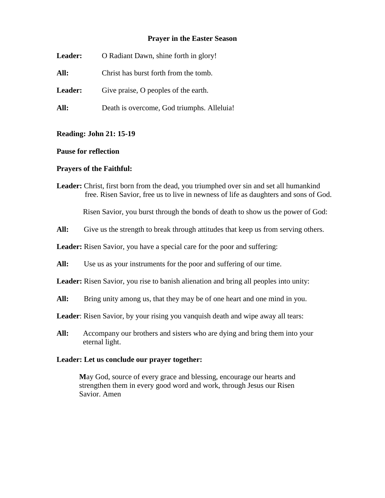### **Prayer in the Easter Season**

| <b>Leader:</b> | O Radiant Dawn, shine forth in glory!      |
|----------------|--------------------------------------------|
| All:           | Christ has burst forth from the tomb.      |
| <b>Leader:</b> | Give praise, O peoples of the earth.       |
| All:           | Death is overcome, God triumphs. Alleluia! |

#### **Reading: John 21: 15-19**

#### **Pause for reflection**

#### **Prayers of the Faithful:**

**Leader:** Christ, first born from the dead, you triumphed over sin and set all humankind free. Risen Savior, free us to live in newness of life as daughters and sons of God.

Risen Savior, you burst through the bonds of death to show us the power of God:

All: Give us the strength to break through attitudes that keep us from serving others.

Leader: Risen Savior, you have a special care for the poor and suffering:

All: Use us as your instruments for the poor and suffering of our time.

Leader: Risen Savior, you rise to banish alienation and bring all peoples into unity:

All: Bring unity among us, that they may be of one heart and one mind in you.

**Leader**: Risen Savior, by your rising you vanquish death and wipe away all tears:

All: Accompany our brothers and sisters who are dying and bring them into your eternal light.

## **Leader: Let us conclude our prayer together:**

**M**ay God, source of every grace and blessing, encourage our hearts and strengthen them in every good word and work, through Jesus our Risen Savior. Amen